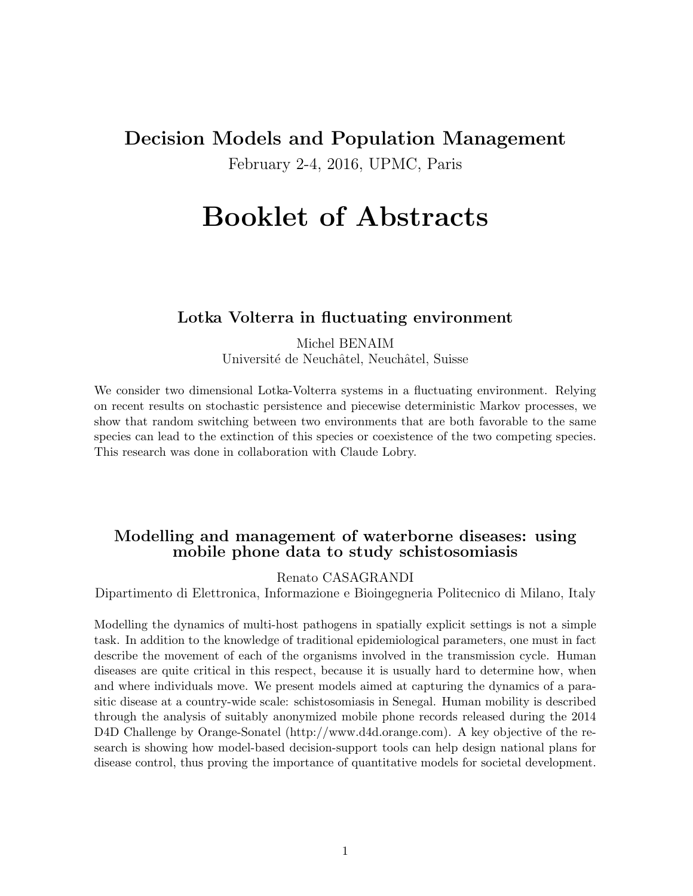# Decision Models and Population Management February 2-4, 2016, UPMC, Paris

# Booklet of Abstracts

#### Lotka Volterra in fluctuating environment

Michel BENAIM Université de Neuchâtel, Neuchâtel, Suisse

We consider two dimensional Lotka-Volterra systems in a fluctuating environment. Relying on recent results on stochastic persistence and piecewise deterministic Markov processes, we show that random switching between two environments that are both favorable to the same species can lead to the extinction of this species or coexistence of the two competing species. This research was done in collaboration with Claude Lobry.

#### Modelling and management of waterborne diseases: using mobile phone data to study schistosomiasis

Renato CASAGRANDI

Dipartimento di Elettronica, Informazione e Bioingegneria Politecnico di Milano, Italy

Modelling the dynamics of multi-host pathogens in spatially explicit settings is not a simple task. In addition to the knowledge of traditional epidemiological parameters, one must in fact describe the movement of each of the organisms involved in the transmission cycle. Human diseases are quite critical in this respect, because it is usually hard to determine how, when and where individuals move. We present models aimed at capturing the dynamics of a parasitic disease at a country-wide scale: schistosomiasis in Senegal. Human mobility is described through the analysis of suitably anonymized mobile phone records released during the 2014 D4D Challenge by Orange-Sonatel (http://www.d4d.orange.com). A key objective of the research is showing how model-based decision-support tools can help design national plans for disease control, thus proving the importance of quantitative models for societal development.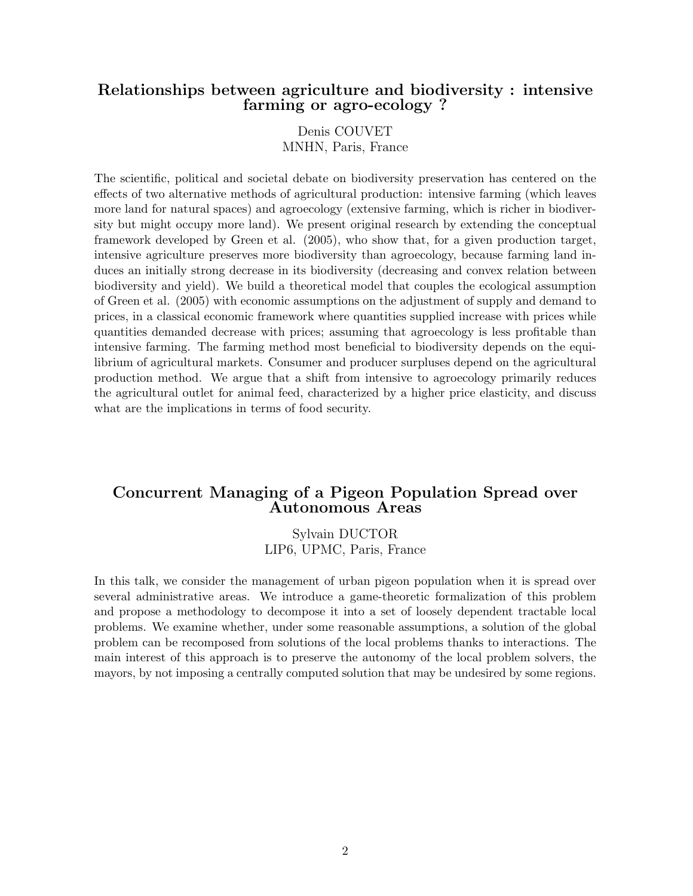#### Relationships between agriculture and biodiversity : intensive farming or agro-ecology ?

Denis COUVET MNHN, Paris, France

The scientific, political and societal debate on biodiversity preservation has centered on the effects of two alternative methods of agricultural production: intensive farming (which leaves more land for natural spaces) and agroecology (extensive farming, which is richer in biodiversity but might occupy more land). We present original research by extending the conceptual framework developed by Green et al. (2005), who show that, for a given production target, intensive agriculture preserves more biodiversity than agroecology, because farming land induces an initially strong decrease in its biodiversity (decreasing and convex relation between biodiversity and yield). We build a theoretical model that couples the ecological assumption of Green et al. (2005) with economic assumptions on the adjustment of supply and demand to prices, in a classical economic framework where quantities supplied increase with prices while quantities demanded decrease with prices; assuming that agroecology is less profitable than intensive farming. The farming method most beneficial to biodiversity depends on the equilibrium of agricultural markets. Consumer and producer surpluses depend on the agricultural production method. We argue that a shift from intensive to agroecology primarily reduces the agricultural outlet for animal feed, characterized by a higher price elasticity, and discuss what are the implications in terms of food security.

#### Concurrent Managing of a Pigeon Population Spread over Autonomous Areas

Sylvain DUCTOR LIP6, UPMC, Paris, France

In this talk, we consider the management of urban pigeon population when it is spread over several administrative areas. We introduce a game-theoretic formalization of this problem and propose a methodology to decompose it into a set of loosely dependent tractable local problems. We examine whether, under some reasonable assumptions, a solution of the global problem can be recomposed from solutions of the local problems thanks to interactions. The main interest of this approach is to preserve the autonomy of the local problem solvers, the mayors, by not imposing a centrally computed solution that may be undesired by some regions.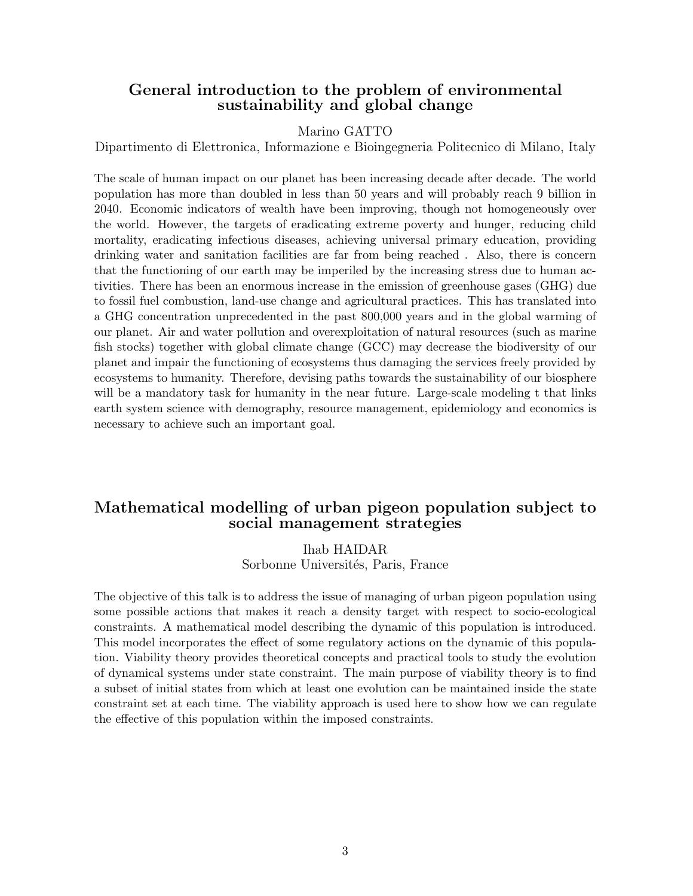#### General introduction to the problem of environmental sustainability and global change

#### Marino GATTO

Dipartimento di Elettronica, Informazione e Bioingegneria Politecnico di Milano, Italy

The scale of human impact on our planet has been increasing decade after decade. The world population has more than doubled in less than 50 years and will probably reach 9 billion in 2040. Economic indicators of wealth have been improving, though not homogeneously over the world. However, the targets of eradicating extreme poverty and hunger, reducing child mortality, eradicating infectious diseases, achieving universal primary education, providing drinking water and sanitation facilities are far from being reached . Also, there is concern that the functioning of our earth may be imperiled by the increasing stress due to human activities. There has been an enormous increase in the emission of greenhouse gases (GHG) due to fossil fuel combustion, land-use change and agricultural practices. This has translated into a GHG concentration unprecedented in the past 800,000 years and in the global warming of our planet. Air and water pollution and overexploitation of natural resources (such as marine fish stocks) together with global climate change (GCC) may decrease the biodiversity of our planet and impair the functioning of ecosystems thus damaging the services freely provided by ecosystems to humanity. Therefore, devising paths towards the sustainability of our biosphere will be a mandatory task for humanity in the near future. Large-scale modeling t that links earth system science with demography, resource management, epidemiology and economics is necessary to achieve such an important goal.

#### Mathematical modelling of urban pigeon population subject to social management strategies

Ihab HAIDAR Sorbonne Universités, Paris, France

The objective of this talk is to address the issue of managing of urban pigeon population using some possible actions that makes it reach a density target with respect to socio-ecological constraints. A mathematical model describing the dynamic of this population is introduced. This model incorporates the effect of some regulatory actions on the dynamic of this population. Viability theory provides theoretical concepts and practical tools to study the evolution of dynamical systems under state constraint. The main purpose of viability theory is to find a subset of initial states from which at least one evolution can be maintained inside the state constraint set at each time. The viability approach is used here to show how we can regulate the effective of this population within the imposed constraints.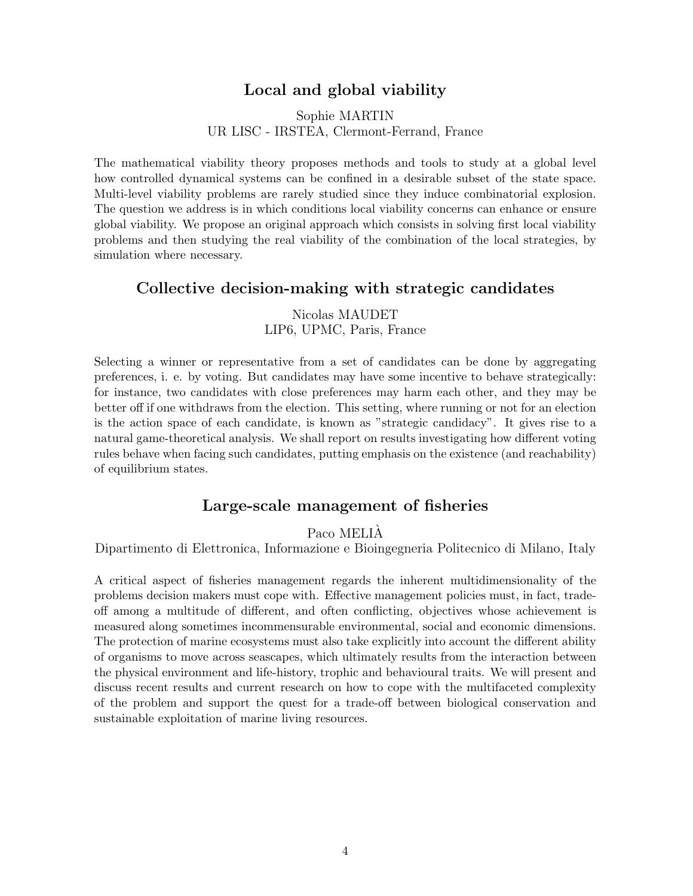# Local and global viability

#### Sophie MARTIN UR LISC - IRSTEA, Clermont-Ferrand, France

The mathematical viability theory proposes methods and tools to study at a global level how controlled dynamical systems can be confined in a desirable subset of the state space. Multi-level viability problems are rarely studied since they induce combinatorial explosion. The question we address is in which conditions local viability concerns can enhance or ensure global viability. We propose an original approach which consists in solving first local viability problems and then studying the real viability of the combination of the local strategies, by simulation where necessary.

#### Collective decision-making with strategic candidates

Nicolas MAUDET LIP6, UPMC, Paris, France

Selecting a winner or representative from a set of candidates can be done by aggregating preferences, i. e. by voting. But candidates may have some incentive to behave strategically: for instance, two candidates with close preferences may harm each other, and they may be better off if one withdraws from the election. This setting, where running or not for an election is the action space of each candidate, is known as "strategic candidacy". It gives rise to a natural game-theoretical analysis. We shall report on results investigating how different voting rules behave when facing such candidates, putting emphasis on the existence (and reachability) of equilibrium states.

### Large-scale management of fisheries

Paco MELIÀ

Dipartimento di Elettronica, Informazione e Bioingegneria Politecnico di Milano, Italy

A critical aspect of fisheries management regards the inherent multidimensionality of the problems decision makers must cope with. Effective management policies must, in fact, tradeoff among a multitude of different, and often conflicting, objectives whose achievement is measured along sometimes incommensurable environmental, social and economic dimensions. The protection of marine ecosystems must also take explicitly into account the different ability of organisms to move across seascapes, which ultimately results from the interaction between the physical environment and life-history, trophic and behavioural traits. We will present and discuss recent results and current research on how to cope with the multifaceted complexity of the problem and support the quest for a trade-off between biological conservation and sustainable exploitation of marine living resources.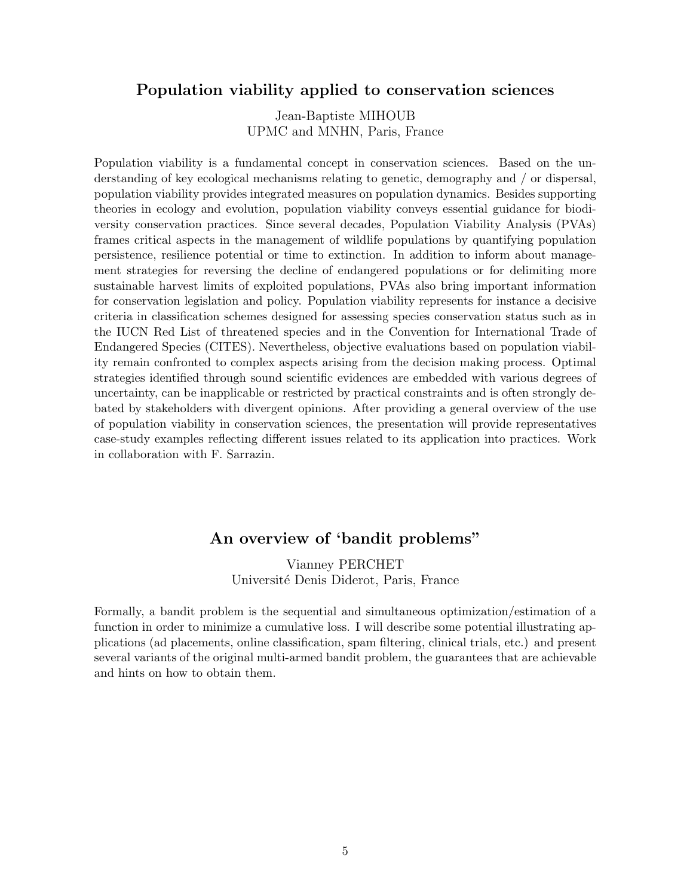#### Population viability applied to conservation sciences

Jean-Baptiste MIHOUB UPMC and MNHN, Paris, France

Population viability is a fundamental concept in conservation sciences. Based on the understanding of key ecological mechanisms relating to genetic, demography and / or dispersal, population viability provides integrated measures on population dynamics. Besides supporting theories in ecology and evolution, population viability conveys essential guidance for biodiversity conservation practices. Since several decades, Population Viability Analysis (PVAs) frames critical aspects in the management of wildlife populations by quantifying population persistence, resilience potential or time to extinction. In addition to inform about management strategies for reversing the decline of endangered populations or for delimiting more sustainable harvest limits of exploited populations, PVAs also bring important information for conservation legislation and policy. Population viability represents for instance a decisive criteria in classification schemes designed for assessing species conservation status such as in the IUCN Red List of threatened species and in the Convention for International Trade of Endangered Species (CITES). Nevertheless, objective evaluations based on population viability remain confronted to complex aspects arising from the decision making process. Optimal strategies identified through sound scientific evidences are embedded with various degrees of uncertainty, can be inapplicable or restricted by practical constraints and is often strongly debated by stakeholders with divergent opinions. After providing a general overview of the use of population viability in conservation sciences, the presentation will provide representatives case-study examples reflecting different issues related to its application into practices. Work in collaboration with F. Sarrazin.

## An overview of 'bandit problems"

Vianney PERCHET Université Denis Diderot, Paris, France

Formally, a bandit problem is the sequential and simultaneous optimization/estimation of a function in order to minimize a cumulative loss. I will describe some potential illustrating applications (ad placements, online classification, spam filtering, clinical trials, etc.) and present several variants of the original multi-armed bandit problem, the guarantees that are achievable and hints on how to obtain them.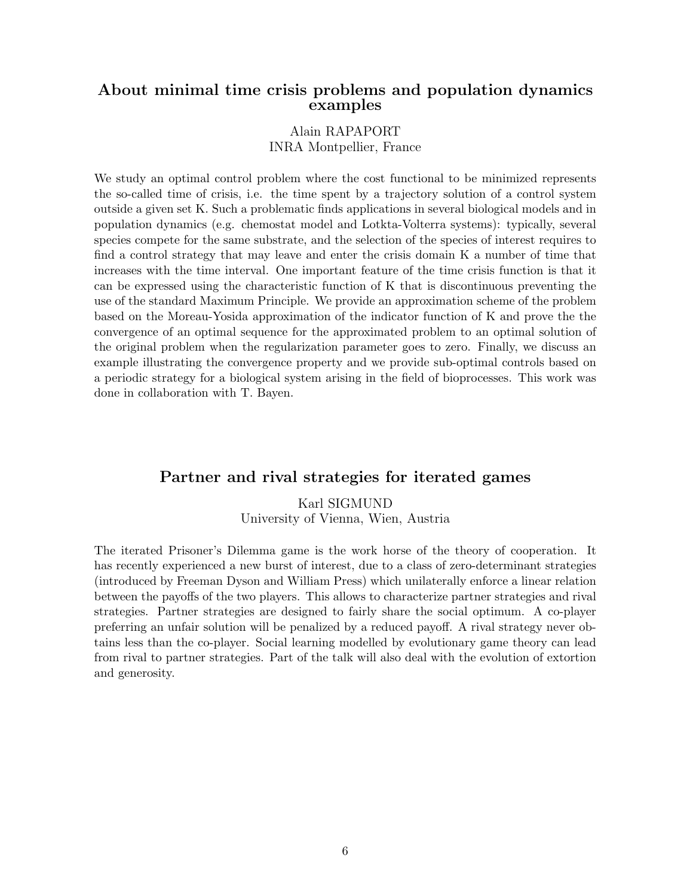#### About minimal time crisis problems and population dynamics examples

# Alain RAPAPORT

INRA Montpellier, France

We study an optimal control problem where the cost functional to be minimized represents the so-called time of crisis, i.e. the time spent by a trajectory solution of a control system outside a given set K. Such a problematic finds applications in several biological models and in population dynamics (e.g. chemostat model and Lotkta-Volterra systems): typically, several species compete for the same substrate, and the selection of the species of interest requires to find a control strategy that may leave and enter the crisis domain K a number of time that increases with the time interval. One important feature of the time crisis function is that it can be expressed using the characteristic function of K that is discontinuous preventing the use of the standard Maximum Principle. We provide an approximation scheme of the problem based on the Moreau-Yosida approximation of the indicator function of K and prove the the convergence of an optimal sequence for the approximated problem to an optimal solution of the original problem when the regularization parameter goes to zero. Finally, we discuss an example illustrating the convergence property and we provide sub-optimal controls based on a periodic strategy for a biological system arising in the field of bioprocesses. This work was done in collaboration with T. Bayen.

#### Partner and rival strategies for iterated games

Karl SIGMUND University of Vienna, Wien, Austria

The iterated Prisoner's Dilemma game is the work horse of the theory of cooperation. It has recently experienced a new burst of interest, due to a class of zero-determinant strategies (introduced by Freeman Dyson and William Press) which unilaterally enforce a linear relation between the payoffs of the two players. This allows to characterize partner strategies and rival strategies. Partner strategies are designed to fairly share the social optimum. A co-player preferring an unfair solution will be penalized by a reduced payoff. A rival strategy never obtains less than the co-player. Social learning modelled by evolutionary game theory can lead from rival to partner strategies. Part of the talk will also deal with the evolution of extortion and generosity.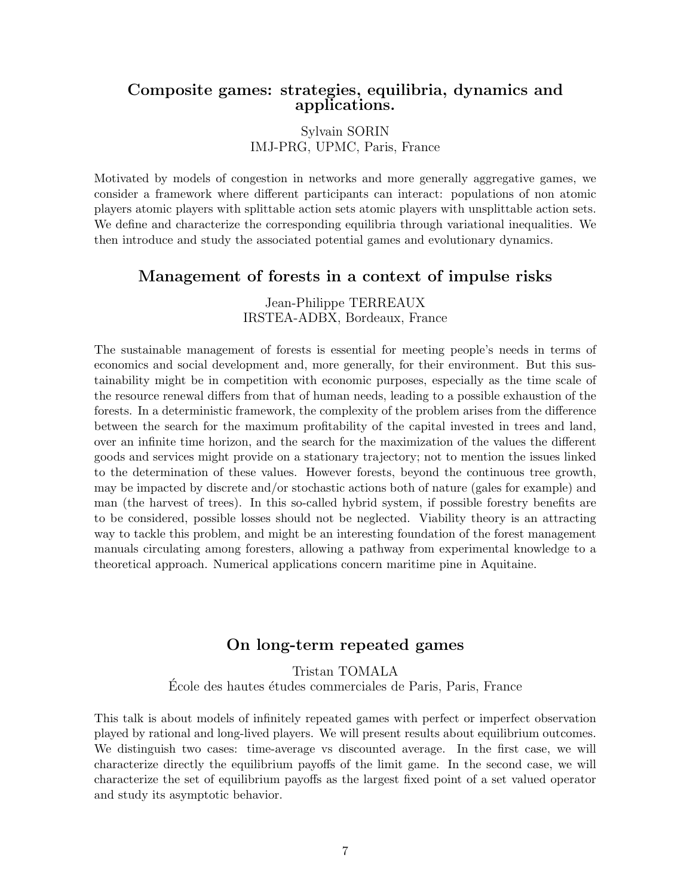#### Composite games: strategies, equilibria, dynamics and applications.

#### Sylvain SORIN IMJ-PRG, UPMC, Paris, France

Motivated by models of congestion in networks and more generally aggregative games, we consider a framework where different participants can interact: populations of non atomic players atomic players with splittable action sets atomic players with unsplittable action sets. We define and characterize the corresponding equilibria through variational inequalities. We then introduce and study the associated potential games and evolutionary dynamics.

#### Management of forests in a context of impulse risks

Jean-Philippe TERREAUX IRSTEA-ADBX, Bordeaux, France

The sustainable management of forests is essential for meeting people's needs in terms of economics and social development and, more generally, for their environment. But this sustainability might be in competition with economic purposes, especially as the time scale of the resource renewal differs from that of human needs, leading to a possible exhaustion of the forests. In a deterministic framework, the complexity of the problem arises from the difference between the search for the maximum profitability of the capital invested in trees and land, over an infinite time horizon, and the search for the maximization of the values the different goods and services might provide on a stationary trajectory; not to mention the issues linked to the determination of these values. However forests, beyond the continuous tree growth, may be impacted by discrete and/or stochastic actions both of nature (gales for example) and man (the harvest of trees). In this so-called hybrid system, if possible forestry benefits are to be considered, possible losses should not be neglected. Viability theory is an attracting way to tackle this problem, and might be an interesting foundation of the forest management manuals circulating among foresters, allowing a pathway from experimental knowledge to a theoretical approach. Numerical applications concern maritime pine in Aquitaine.

#### On long-term repeated games

Tristan TOMALA École des hautes études commerciales de Paris, Paris, France

This talk is about models of infinitely repeated games with perfect or imperfect observation played by rational and long-lived players. We will present results about equilibrium outcomes. We distinguish two cases: time-average vs discounted average. In the first case, we will characterize directly the equilibrium payoffs of the limit game. In the second case, we will characterize the set of equilibrium payoffs as the largest fixed point of a set valued operator and study its asymptotic behavior.